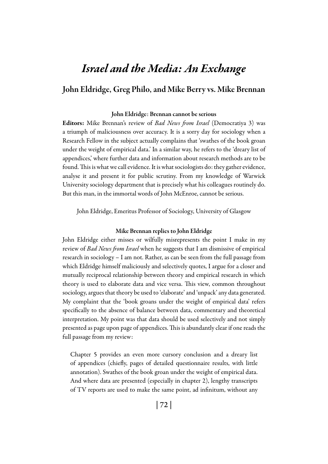# *Israel and the Media: An Exchange*

### John Eldridge, Greg Philo, and Mike Berry vs. Mike Brennan

#### John Eldridge: Brennan cannot be serious

Editors: Mike Brennan's review of *Bad News from Israel* (Democratiya 3) was a triumph of maliciousness over accuracy. It is a sorry day for sociology when a Research Fellow in the subject actually complains that 'swathes of the book groan under the weight of empirical data.' In a similar way, he refers to the 'dreary list of appendices,' where further data and information about research methods are to be found. This is what we call evidence. It is what sociologists do: they gather evidence, analyse it and present it for public scrutiny. From my knowledge of Warwick University sociology department that is precisely what his colleagues routinely do. But this man, in the immortal words of John McEnroe, cannot be serious.

John Eldridge, Emeritus Professor of Sociology, University of Glasgow

#### Mike Brennan replies to John Eldridge

John Eldridge either misses or wilfully misrepresents the point I make in my review of *Bad News from Israel* when he suggests that I am dismissive of empirical research in sociology – I am not. Rather, as can be seen from the full passage from which Eldridge himself maliciously and selectively quotes, I argue for a closer and mutually reciprocal relationship between theory and empirical research in which theory is used to elaborate data and vice versa. This view, common throughout sociology, argues that theory be used to 'elaborate' and 'unpack' any data generated. My complaint that the 'book groans under the weight of empirical data' refers specifically to the absence of balance between data, commentary and theoretical interpretation. My point was that data should be used selectively and not simply presented as page upon page of appendices. This is abundantly clear if one reads the full passage from my review:

Chapter 5 provides an even more cursory conclusion and a dreary list of appendices (chiefly, pages of detailed questionnaire results, with little annotation). Swathes of the book groan under the weight of empirical data. And where data are presented (especially in chapter 2), lengthy transcripts of TV reports are used to make the same point, ad infinitum, without any

| 72 |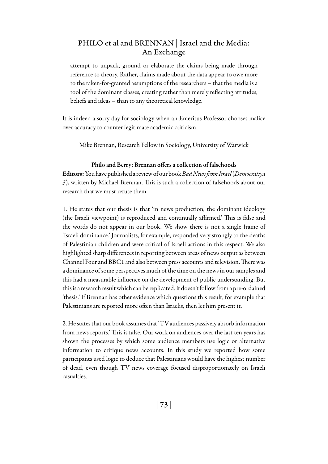attempt to unpack, ground or elaborate the claims being made through reference to theory. Rather, claims made about the data appear to owe more to the taken-for-granted assumptions of the researchers – that the media is a tool of the dominant classes, creating rather than merely reflecting attitudes, beliefs and ideas – than to any theoretical knowledge.

It is indeed a sorry day for sociology when an Emeritus Professor chooses malice over accuracy to counter legitimate academic criticism.

Mike Brennan, Research Fellow in Sociology, University of Warwick

#### Philo and Berry: Brennan offers a collection of falsehoods

Editors: You have published a review of our book *Bad News from Israel* (*Democratiya 3*), written by Michael Brennan. This is such a collection of falsehoods about our research that we must refute them.

1. He states that our thesis is that 'in news production, the dominant ideology (the Israeli viewpoint) is reproduced and continually affirmed.' This is false and the words do not appear in our book. We show there is not a single frame of 'Israeli dominance.' Journalists, for example, responded very strongly to the deaths of Palestinian children and were critical of Israeli actions in this respect. We also highlighted sharp differences in reporting between areas of news output as between Channel Four and BBC1 and also between press accounts and television. There was a dominance of some perspectives much of the time on the news in our samples and this had a measurable influence on the development of public understanding. But this is a research result which can be replicated. It doesn't follow from a pre-ordained 'thesis.' If Brennan has other evidence which questions this result, for example that Palestinians are reported more often than Israelis, then let him present it.

2. He states that our book assumes that 'TV audiences passively absorb information from news reports.' This is false. Our work on audiences over the last ten years has shown the processes by which some audience members use logic or alternative information to critique news accounts. In this study we reported how some participants used logic to deduce that Palestinians would have the highest number of dead, even though TV news coverage focused disproportionately on Israeli casualties.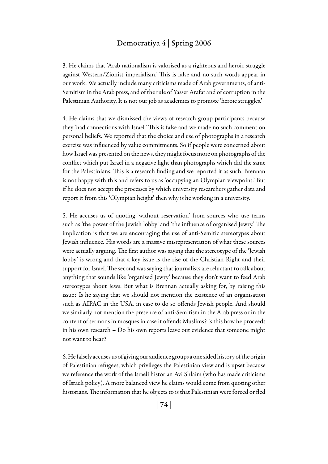3. He claims that 'Arab nationalism is valorised as a righteous and heroic struggle against Western/Zionist imperialism.' This is false and no such words appear in our work. We actually include many criticisms made of Arab governments, of anti-Semitism in the Arab press, and of the rule of Yasser Arafat and of corruption in the Palestinian Authority. It is not our job as academics to promote 'heroic struggles.'

4. He claims that we dismissed the views of research group participants because they 'had connections with Israel.' This is false and we made no such comment on personal beliefs. We reported that the choice and use of photographs in a research exercise was influenced by value commitments. So if people were concerned about how Israel was presented on the news, they might focus more on photographs of the conflict which put Israel in a negative light than photographs which did the same for the Palestinians. This is a research finding and we reported it as such. Brennan is not happy with this and refers to us as 'occupying an Olympian viewpoint.' But if he does not accept the processes by which university researchers gather data and report it from this 'Olympian height' then why is he working in a university.

5. He accuses us of quoting 'without reservation' from sources who use terms such as 'the power of the Jewish lobby' and 'the influence of organised Jewry.' The implication is that we are encouraging the use of anti-Semitic stereotypes about Jewish influence. His words are a massive misrepresentation of what these sources were actually arguing. The first author was saying that the stereotype of the 'Jewish lobby' is wrong and that a key issue is the rise of the Christian Right and their support for Israel. The second was saying that journalists are reluctant to talk about anything that sounds like 'organised Jewry' because they don't want to feed Arab stereotypes about Jews. But what is Brennan actually asking for, by raising this issue? Is he saying that we should not mention the existence of an organisation such as AIPAC in the USA, in case to do so offends Jewish people. And should we similarly not mention the presence of anti-Semitism in the Arab press or in the content of sermons in mosques in case it offends Muslims? Is this how he proceeds in his own research – Do his own reports leave out evidence that someone might not want to hear?

6. He falsely accuses us of giving our audience groups a one sided history of the origin of Palestinian refugees, which privileges the Palestinian view and is upset because we reference the work of the Israeli historian Avi Shlaim (who has made criticisms of Israeli policy). A more balanced view he claims would come from quoting other historians. The information that he objects to is that Palestinian were forced or fled

| 74 |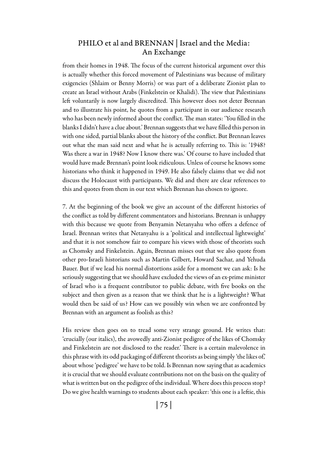from their homes in 1948. The focus of the current historical argument over this is actually whether this forced movement of Palestinians was because of military exigencies (Shlaim or Benny Morris) or was part of a deliberate Zionist plan to create an Israel without Arabs (Finkelstein or Khalidi). The view that Palestinians left voluntarily is now largely discredited. This however does not deter Brennan and to illustrate his point, he quotes from a participant in our audience research who has been newly informed about the conflict. The man states: 'You filled in the blanks I didn't have a clue about.' Brennan suggests that we have filled this person in with one sided, partial blanks about the history of the conflict. But Brennan leaves out what the man said next and what he is actually referring to. This is: '1948? Was there a war in 1948? Now I know there was.' Of course to have included that would have made Brennan's point look ridiculous. Unless of course he knows some historians who think it happened in 1949. He also falsely claims that we did not discuss the Holocaust with participants. We did and there are clear references to this and quotes from them in our text which Brennan has chosen to ignore.

7. At the beginning of the book we give an account of the different histories of the conflict as told by different commentators and historians. Brennan is unhappy with this because we quote from Benyamin Netanyahu who offers a defence of Israel. Brennan writes that Netanyahu is a 'political and intellectual lightweight' and that it is not somehow fair to compare his views with those of theorists such as Chomsky and Finkelstein. Again, Brennan misses out that we also quote from other pro-Israeli historians such as Martin Gilbert, Howard Sachar, and Yehuda Bauer. But if we lead his normal distortions aside for a moment we can ask: Is he seriously suggesting that we should have excluded the views of an ex-prime minister of Israel who is a frequent contributor to public debate, with five books on the subject and then given as a reason that we think that he is a lightweight? What would then be said of us? How can we possibly win when we are confronted by Brennan with an argument as foolish as this?

His review then goes on to tread some very strange ground. He writes that: 'crucially (our italics), the avowedly anti-Zionist pedigree of the likes of Chomsky and Finkelstein are not disclosed to the reader.' There is a certain malevolence in this phrase with its odd packaging of different theorists as being simply 'the likes of,' about whose 'pedigree' we have to be told. Is Brennan now saying that as academics it is crucial that we should evaluate contributions not on the basis on the quality of what is written but on the pedigree of the individual. Where does this process stop? Do we give health warnings to students about each speaker: 'this one is a leftie, this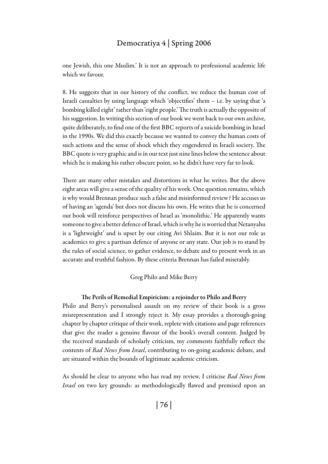one Jewish, this one Muslim.' It is not an approach to professional academic life which we favour.

8. He suggests that in our history of the conflict, we reduce the human cost of Israeli casualties by using language which 'objectifies' them – i.e. by saying that 'a bombing killed eight' rather than 'eight people.' The truth is actually the opposite of his suggestion. In writing this section of our book we went back to our own archive, quite deliberately, to find one of the first BBC reports of a suicide bombing in Israel in the 1990s. We did this exactly because we wanted to convey the human costs of such actions and the sense of shock which they engendered in Israeli society. The BBC quote is very graphic and is in our text just nine lines below the sentence about which he is making his rather obscure point, so he didn't have very far to look.

There are many other mistakes and distortions in what he writes. But the above eight areas will give a sense of the quality of his work. One question remains, which is why would Brennan produce such a false and misinformed review? He accuses us of having an 'agenda' but does not discuss his own. He writes that he is concerned our book will reinforce perspectives of Israel as 'monolithic.' He apparently wants someone to give a better defence of Israel, which is why he is worried that Netanyahu is a 'lightweight' and is upset by our citing Avi Shlaim. But it is not our role as academics to give a partisan defence of anyone or any state. Our job is to stand by the rules of social science, to gather evidence, to debate and to present work in an accurate and truthful fashion. By these criteria Brennan has failed miserably.

#### Greg Philo and Mike Berry

#### The Perils of Remedial Empiricism: a rejoinder to Philo and Berry

Philo and Berry's personalised assault on my review of their book is a gross misrepresentation and I strongly reject it. My essay provides a thorough-going chapter by chapter critique of their work, replete with citations and page references that give the reader a genuine flavour of the book's overall content. Judged by the received standards of scholarly criticism, my comments faithfully reflect the contents of *Bad News from Israel*, contributing to on-going academic debate, and are situated within the bounds of legitimate academic criticism.

As should be clear to anyone who has read my review, I criticise *Bad News from Israel* on two key grounds: as methodologically flawed and premised upon an

| 76 |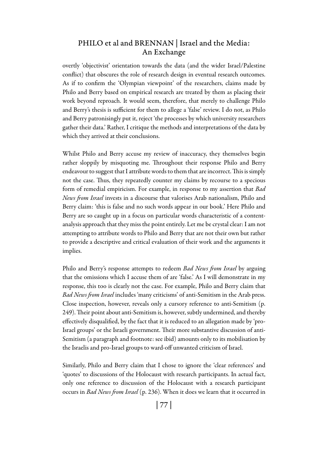overtly 'objectivist' orientation towards the data (and the wider Israel/Palestine conflict) that obscures the role of research design in eventual research outcomes. As if to confirm the 'Olympian viewpoint' of the researchers, claims made by Philo and Berry based on empirical research are treated by them as placing their work beyond reproach. It would seem, therefore, that merely to challenge Philo and Berry's thesis is sufficient for them to allege a 'false' review. I do not, as Philo and Berry patronisingly put it, reject 'the processes by which university researchers gather their data.' Rather, I critique the methods and interpretations of the data by which they arrived at their conclusions.

Whilst Philo and Berry accuse my review of inaccuracy, they themselves begin rather sloppily by misquoting me. Throughout their response Philo and Berry endeavour to suggest that I attribute words to them that are incorrect. This is simply not the case. Thus, they repeatedly counter my claims by recourse to a specious form of remedial empiricism. For example, in response to my assertion that *Bad News from Israel* invests in a discourse that valorises Arab nationalism, Philo and Berry claim: 'this is false and no such words appear in our book.' Here Philo and Berry are so caught up in a focus on particular words characteristic of a contentanalysis approach that they miss the point entirely. Let me be crystal clear: I am not attempting to attribute words to Philo and Berry that are not their own but rather to provide a descriptive and critical evaluation of their work and the arguments it implies.

Philo and Berry's response attempts to redeem *Bad News from Israel* by arguing that the omissions which I accuse them of are 'false.' As I will demonstrate in my response, this too is clearly not the case. For example, Philo and Berry claim that *Bad News from Israel* includes 'many criticisms' of anti-Semitism in the Arab press. Close inspection, however, reveals only a cursory reference to anti-Semitism (p. 249). Their point about anti-Semitism is, however, subtly undermined, and thereby effectively disqualified, by the fact that it is reduced to an allegation made by 'pro-Israel groups' or the Israeli government. Their more substantive discussion of anti-Semitism (a paragraph and footnote: see ibid) amounts only to its mobilisation by the Israelis and pro-Israel groups to ward-off unwanted criticism of Israel.

Similarly, Philo and Berry claim that I chose to ignore the 'clear references' and 'quotes' to discussions of the Holocaust with research participants. In actual fact, only one reference to discussion of the Holocaust with a research participant occurs in *Bad News from Israel* (p. 236). When it does we learn that it occurred in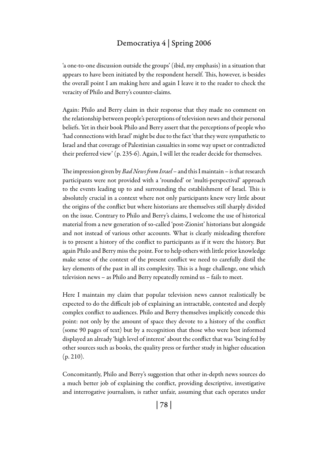'a one-to-one discussion outside the groups' (ibid, my emphasis) in a situation that appears to have been initiated by the respondent herself. This, however, is besides the overall point I am making here and again I leave it to the reader to check the veracity of Philo and Berry's counter-claims.

Again: Philo and Berry claim in their response that they made no comment on the relationship between people's perceptions of television news and their personal beliefs. Yet in their book Philo and Berry assert that the perceptions of people who 'had connections with Israel' might be due to the fact 'that they were sympathetic to Israel and that coverage of Palestinian casualties in some way upset or contradicted their preferred view' (p. 235-6). Again, I will let the reader decide for themselves.

The impression given by *Bad News from Israel* – and this I maintain – is that research participants were not provided with a 'rounded' or 'multi-perspectival' approach to the events leading up to and surrounding the establishment of Israel. This is absolutely crucial in a context where not only participants knew very little about the origins of the conflict but where historians are themselves still sharply divided on the issue. Contrary to Philo and Berry's claims, I welcome the use of historical material from a new generation of so-called 'post-Zionist' historians but alongside and not instead of various other accounts. What is clearly misleading therefore is to present a history of the conflict to participants as if it were the history. But again Philo and Berry miss the point. For to help others with little prior knowledge make sense of the context of the present conflict we need to carefully distil the key elements of the past in all its complexity. This is a huge challenge, one which television news – as Philo and Berry repeatedly remind us – fails to meet.

Here I maintain my claim that popular television news cannot realistically be expected to do the difficult job of explaining an intractable, contested and deeply complex conflict to audiences. Philo and Berry themselves implicitly concede this point: not only by the amount of space they devote to a history of the conflict (some 90 pages of text) but by a recognition that those who were best informed displayed an already 'high level of interest' about the conflict that was 'being fed by other sources such as books, the quality press or further study in higher education  $(p. 210)$ .

Concomitantly, Philo and Berry's suggestion that other in-depth news sources do a much better job of explaining the conflict, providing descriptive, investigative and interrogative journalism, is rather unfair, assuming that each operates under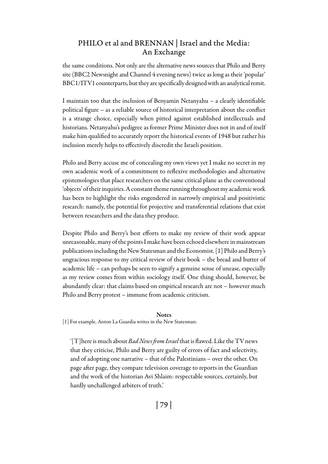the same conditions. Not only are the alternative news sources that Philo and Berry site (BBC2 Newsnight and Channel 4 evening news) twice as long as their 'popular' BBC1/ITV1 counterparts, but they are specifically designed with an analytical remit.

I maintain too that the inclusion of Benyamin Netanyahu – a clearly identifiable political figure – as a reliable source of historical interpretation about the conflict is a strange choice, especially when pitted against established intellectuals and historians. Netanyahu's pedigree as former Prime Minister does not in and of itself make him qualified to accurately report the historical events of 1948 but rather his inclusion merely helps to effectively discredit the Israeli position.

Philo and Berry accuse me of concealing my own views yet I make no secret in my own academic work of a commitment to reflexive methodologies and alternative epistemologies that place researchers on the same critical plane as the conventional 'objects' of their inquiries. A constant theme running throughout my academic work has been to highlight the risks engendered in narrowly empirical and positivistic research: namely, the potential for projective and transferential relations that exist between researchers and the data they produce.

Despite Philo and Berry's best efforts to make my review of their work appear unreasonable, many of the points I make have been echoed elsewhere in mainstream publications including the New Statesman and the Economist. [1] Philo and Berry's ungracious response to my critical review of their book – the bread and butter of academic life – can perhaps be seen to signify a genuine sense of unease, especially as my review comes from within sociology itself. One thing should, however, be abundantly clear: that claims based on empirical research are not – however much Philo and Berry protest – immune from academic criticism.

#### **Notes**

[1] For example, Anton La Guardia writes in the New Statesman:

'[T]here is much about *Bad News from Israel* that is flawed. Like the TV news that they criticise, Philo and Berry are guilty of errors of fact and selectivity, and of adopting one narrative – that of the Palestinians – over the other. On page after page, they compare television coverage to reports in the Guardian and the work of the historian Avi Shlaim: respectable sources, certainly, but hardly unchallenged arbiters of truth.'